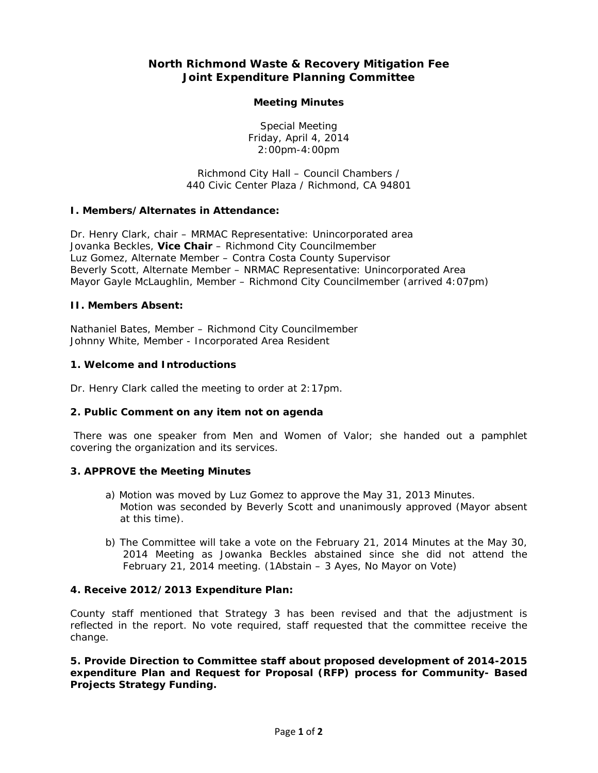# **North Richmond Waste & Recovery Mitigation Fee Joint Expenditure Planning Committee**

## **Meeting Minutes**

Special Meeting Friday, April 4, 2014 2:00pm-4:00pm

*Richmond City Hall – Council Chambers / 440 Civic Center Plaza / Richmond, CA 94801* 

## **I. Members/Alternates in Attendance:**

Dr. Henry Clark, chair – MRMAC Representative: Unincorporated area Jovanka Beckles, **Vice Chair** – Richmond City Councilmember Luz Gomez, Alternate Member – Contra Costa County Supervisor Beverly Scott, Alternate Member – NRMAC Representative: Unincorporated Area Mayor Gayle McLaughlin, Member – Richmond City Councilmember (arrived 4:07pm)

## **II. Members Absent:**

Nathaniel Bates, Member – Richmond City Councilmember Johnny White, Member - Incorporated Area Resident

## **1. Welcome and Introductions**

Dr. Henry Clark called the meeting to order at 2:17pm.

#### **2. Public Comment on any item not on agenda**

 There was one speaker from Men and Women of Valor; she handed out a pamphlet covering the organization and its services.

#### **3. APPROVE the Meeting Minutes**

- *a) Motion was moved* by Luz Gomez to approve the May 31, 2013 Minutes. *Motion was seconded* by Beverly Scott and unanimously approved (Mayor absent at this time).
- *b) The Committee will take a vote on the February 21, 2014 Minutes at the May 30, 2014 Meeting as Jowanka Beckles abstained since she did not attend the February 21, 2014 meeting. (1Abstain – 3 Ayes, No Mayor on Vote)*

# **4. Receive 2012/2013 Expenditure Plan:**

County staff mentioned that Strategy 3 has been revised and that the adjustment is reflected in the report. No vote required, staff requested that the committee receive the change.

**5. Provide Direction to Committee staff about proposed development of 2014-2015 expenditure Plan and Request for Proposal (RFP) process for Community- Based Projects Strategy Funding.**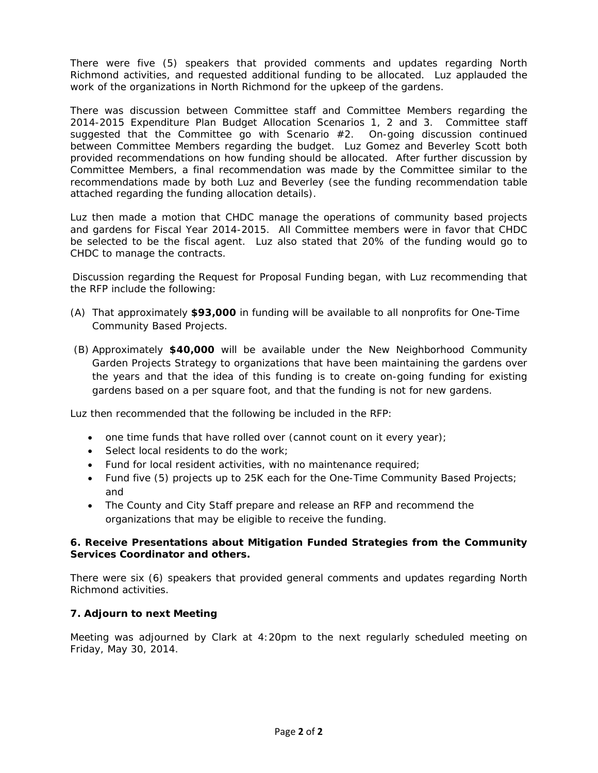There were five (5) speakers that provided comments and updates regarding North Richmond activities, and requested additional funding to be allocated. Luz applauded the work of the organizations in North Richmond for the upkeep of the gardens.

There was discussion between Committee staff and Committee Members regarding the 2014-2015 Expenditure Plan Budget Allocation Scenarios 1, 2 and 3. Committee staff suggested that the Committee go with Scenario #2. On-going discussion continued between Committee Members regarding the budget. Luz Gomez and Beverley Scott both provided recommendations on how funding should be allocated. After further discussion by Committee Members, a final recommendation was made by the Committee similar to the recommendations made by both Luz and Beverley (see the funding recommendation table attached regarding the funding allocation details).

Luz then made a motion that CHDC manage the operations of community based projects and gardens for Fiscal Year 2014-2015. All Committee members were in favor that CHDC be selected to be the fiscal agent. Luz also stated that 20% of the funding would go to CHDC to manage the contracts.

Discussion regarding the Request for Proposal Funding began, with Luz recommending that the RFP include the following:

- (A) That approximately **\$93,000** in funding will be available to all nonprofits for One-Time Community Based Projects.
- (B) Approximately **\$40,000** will be available under the New Neighborhood Community Garden Projects Strategy to organizations that have been maintaining the gardens over the years and that the idea of this funding is to create on-going funding for existing gardens based on a per square foot, and that the funding is not for new gardens.

Luz then recommended that the following be included in the RFP:

- one time funds that have rolled over (cannot count on it every year);
- Select local residents to do the work;
- Fund for local resident activities, with no maintenance required;
- Fund five (5) projects up to 25K each for the One-Time Community Based Projects; and
- The County and City Staff prepare and release an RFP and recommend the organizations that may be eligible to receive the funding.

# **6. Receive Presentations about Mitigation Funded Strategies from the Community Services Coordinator and others.**

There were six (6) speakers that provided general comments and updates regarding North Richmond activities.

# **7. Adjourn to next Meeting**

Meeting was adjourned by Clark at 4:20pm to the next regularly scheduled meeting on Friday, May 30, 2014.